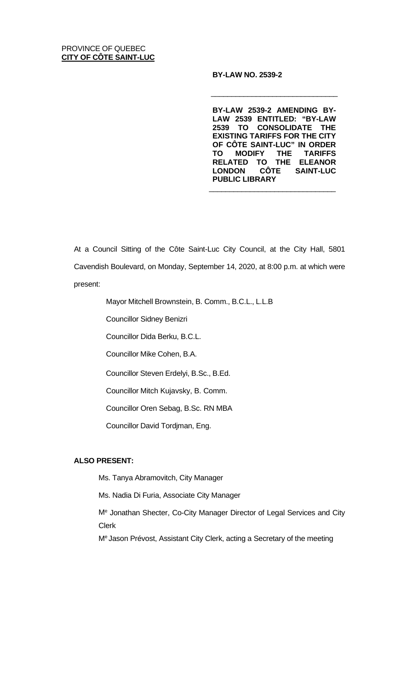### **BY-LAW NO. 2539-2**

**BY-LAW 2539-2 AMENDING BY-LAW 2539 ENTITLED: "BY-LAW 2539 TO CONSOLIDATE THE EXISTING TARIFFS FOR THE CITY OF CÔTE SAINT-LUC" IN ORDER TO MODIFY THE TARIFFS RELATED TO THE ELEANOR LONDON CÔTE SAINT-LUC PUBLIC LIBRARY**

 $\overline{\phantom{a}}$  , and the set of the set of the set of the set of the set of the set of the set of the set of the set of the set of the set of the set of the set of the set of the set of the set of the set of the set of the s

 $\overline{\phantom{a}}$  , and the set of the set of the set of the set of the set of the set of the set of the set of the set of the set of the set of the set of the set of the set of the set of the set of the set of the set of the s

At a Council Sitting of the Côte Saint-Luc City Council, at the City Hall, 5801 Cavendish Boulevard, on Monday, September 14, 2020, at 8:00 p.m. at which were present:

Mayor Mitchell Brownstein, B. Comm., B.C.L., L.L.B

Councillor Sidney Benizri

Councillor Dida Berku, B.C.L.

Councillor Mike Cohen, B.A.

Councillor Steven Erdelyi, B.Sc., B.Ed.

Councillor Mitch Kujavsky, B. Comm.

Councillor Oren Sebag, B.Sc. RN MBA

Councillor David Tordjman, Eng.

### **ALSO PRESENT:**

Ms. Tanya Abramovitch, City Manager

Ms. Nadia Di Furia, Associate City Manager

Me Jonathan Shecter, Co-City Manager Director of Legal Services and City Clerk

Me Jason Prévost, Assistant City Clerk, acting a Secretary of the meeting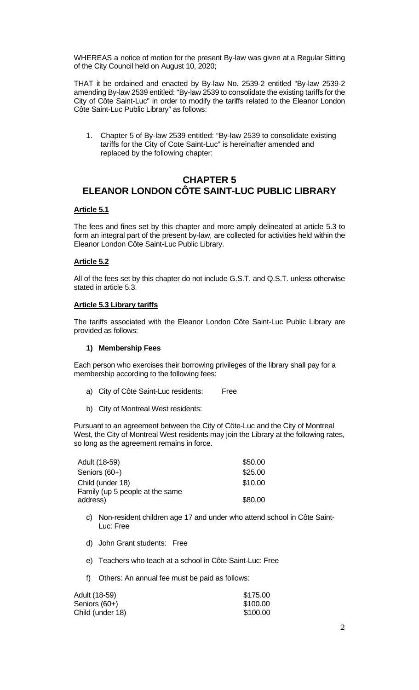WHEREAS a notice of motion for the present By-law was given at a Regular Sitting of the City Council held on August 10, 2020;

THAT it be ordained and enacted by By-law No. 2539-2 entitled "By-law 2539-2 amending By-law 2539 entitled: "By-law 2539 to consolidate the existing tariffs for the City of Côte Saint-Luc" in order to modify the tariffs related to the Eleanor London Côte Saint-Luc Public Library" as follows:

1. Chapter 5 of By-law 2539 entitled: "By-law 2539 to consolidate existing tariffs for the City of Cote Saint-Luc" is hereinafter amended and replaced by the following chapter:

# **CHAPTER 5 ELEANOR LONDON CÔTE SAINT-LUC PUBLIC LIBRARY**

### **Article 5.1**

The fees and fines set by this chapter and more amply delineated at article 5.3 to form an integral part of the present by-law, are collected for activities held within the Eleanor London Côte Saint-Luc Public Library.

### **Article 5.2**

All of the fees set by this chapter do not include G.S.T. and Q.S.T. unless otherwise stated in article 5.3.

### **Article 5.3 Library tariffs**

The tariffs associated with the Eleanor London Côte Saint-Luc Public Library are provided as follows:

#### **1) Membership Fees**

Each person who exercises their borrowing privileges of the library shall pay for a membership according to the following fees:

- a) City of Côte Saint-Luc residents: Free
- b) City of Montreal West residents:

Pursuant to an agreement between the City of Côte-Luc and the City of Montreal West, the City of Montreal West residents may join the Library at the following rates, so long as the agreement remains in force.

| Adult (18-59)                   | \$50.00 |
|---------------------------------|---------|
| Seniors (60+)                   | \$25.00 |
| Child (under 18)                | \$10.00 |
| Family (up 5 people at the same |         |
| address)                        | \$80.00 |

- c) Non-resident children age 17 and under who attend school in Côte Saint-Luc: Free
- d) John Grant students: Free
- e) Teachers who teach at a school in Côte Saint-Luc: Free
- f) Others: An annual fee must be paid as follows:

| Adult (18-59)    | \$175.00 |
|------------------|----------|
| Seniors (60+)    | \$100.00 |
| Child (under 18) | \$100.00 |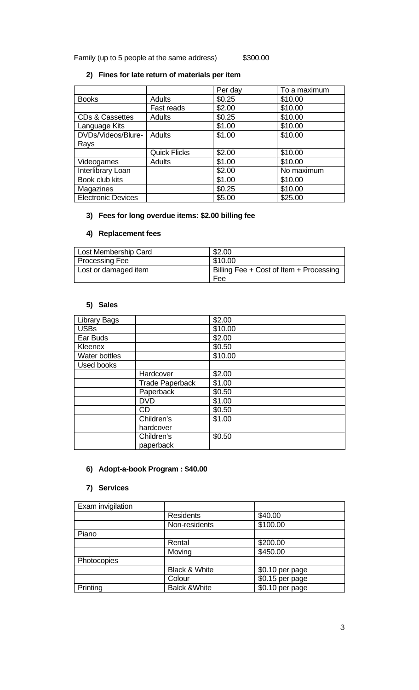Family (up to 5 people at the same address) \$300.00

# **2) Fines for late return of materials per item**

|                           |                     | Per day | To a maximum |
|---------------------------|---------------------|---------|--------------|
| <b>Books</b>              | <b>Adults</b>       | \$0.25  | \$10.00      |
|                           | Fast reads          | \$2.00  | \$10.00      |
| CDs & Cassettes           | <b>Adults</b>       | \$0.25  | \$10.00      |
| Language Kits             |                     | \$1.00  | \$10.00      |
| DVDs/Videos/Blure-        | <b>Adults</b>       | \$1.00  | \$10.00      |
| Rays                      |                     |         |              |
|                           | <b>Quick Flicks</b> | \$2.00  | \$10.00      |
| Videogames                | <b>Adults</b>       | \$1.00  | \$10.00      |
| Interlibrary Loan         |                     | \$2.00  | No maximum   |
| Book club kits            |                     | \$1.00  | \$10.00      |
| Magazines                 |                     | \$0.25  | \$10.00      |
| <b>Electronic Devices</b> |                     | \$5.00  | \$25.00      |

## **3) Fees for long overdue items: \$2.00 billing fee**

## **4) Replacement fees**

| Lost Membership Card | \$2.00                                  |
|----------------------|-----------------------------------------|
| Processing Fee       | \$10.00                                 |
| Lost or damaged item | Billing Fee + Cost of Item + Processing |
|                      | Fee                                     |

## **5) Sales**

| <b>Library Bags</b>  |                        | \$2.00  |
|----------------------|------------------------|---------|
| <b>USBs</b>          |                        | \$10.00 |
| Ear Buds             |                        | \$2.00  |
| Kleenex              |                        | \$0.50  |
| <b>Water bottles</b> |                        | \$10.00 |
| <b>Used books</b>    |                        |         |
|                      | Hardcover              | \$2.00  |
|                      | <b>Trade Paperback</b> | \$1.00  |
|                      | Paperback              | \$0.50  |
|                      | <b>DVD</b>             | \$1.00  |
|                      | <b>CD</b>              | \$0.50  |
|                      | Children's             | \$1.00  |
|                      | hardcover              |         |
|                      | Children's             | \$0.50  |
|                      | paperback              |         |

## **6) Adopt-a-book Program : \$40.00**

### **7) Services**

| Exam invigilation |                          |                 |
|-------------------|--------------------------|-----------------|
|                   | <b>Residents</b>         | \$40.00         |
|                   | Non-residents            | \$100.00        |
| Piano             |                          |                 |
|                   | Rental                   | \$200.00        |
|                   | Moving                   | \$450.00        |
| Photocopies       |                          |                 |
|                   | Black & White            | \$0.10 per page |
|                   | Colour                   | \$0.15 per page |
| Printing          | <b>Balck &amp; White</b> | \$0.10 per page |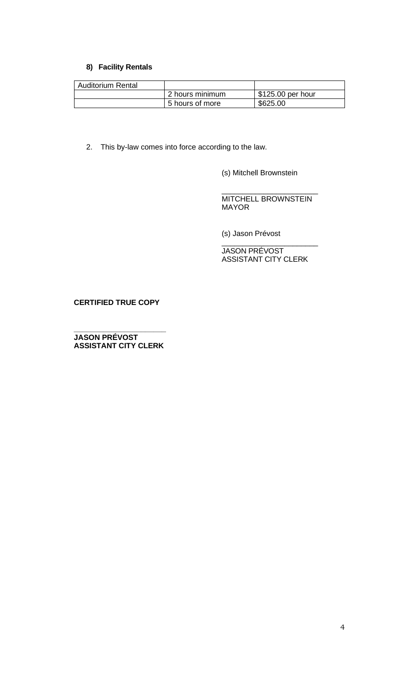## **8) Facility Rentals**

| <b>Auditorium Rental</b> |                 |                   |
|--------------------------|-----------------|-------------------|
|                          | 2 hours minimum | \$125.00 per hour |
|                          | 5 hours of more | \$625.00          |

2. This by-law comes into force according to the law.

(s) Mitchell Brownstein

\_\_\_\_\_\_\_\_\_\_\_\_\_\_\_\_\_\_\_\_\_\_\_ MITCHELL BROWNSTEIN MAYOR

(s) Jason Prévost

\_\_\_\_\_\_\_\_\_\_\_\_\_\_\_\_\_\_\_\_\_\_\_ JASON PRÉVOST ASSISTANT CITY CLERK

## **CERTIFIED TRUE COPY**

**\_\_\_\_\_\_\_\_\_\_\_\_\_\_\_\_\_\_\_\_\_\_ JASON PRÉVOST ASSISTANT CITY CLERK**